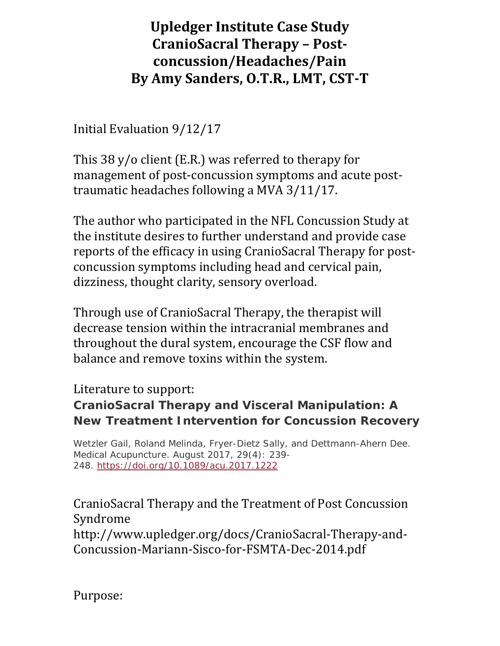## **Upledger Institute Case Study CranioSacral Therapy – Post‐ concussion/Headaches/Pain By Amy Sanders, O.T.R., LMT, CST‐T**

Initial Evaluation 9/12/17

This 38 y/o client (E.R.) was referred to therapy for management of post-concussion symptoms and acute posttraumatic headaches following a MVA 3/11/17.

The author who participated in the NFL Concussion Study at the institute desires to further understand and provide case reports of the efficacy in using CranioSacral Therapy for postconcussion symptoms including head and cervical pain, dizziness, thought clarity, sensory overload.

Through use of CranioSacral Therapy, the therapist will decrease tension within the intracranial membranes and throughout the dural system, encourage the CSF flow and balance and remove toxins within the system.

#### Literature to support:

#### **CranioSacral Therapy and Visceral Manipulation: A New Treatment Intervention for Concussion Recovery**

Wetzler Gail, Roland Melinda, Fryer-Dietz Sally, and Dettmann-Ahern Dee. Medical Acupuncture. August 2017, 29(4): 239- 248. https://doi.org/10.1089/acu.2017.1222

CranioSacral Therapy and the Treatment of Post Concussion Syndrome http://www.upledger.org/docs/CranioSacral-Therapy-and-Concussion-Mariann-Sisco-for-FSMTA-Dec-2014.pdf

Purpose: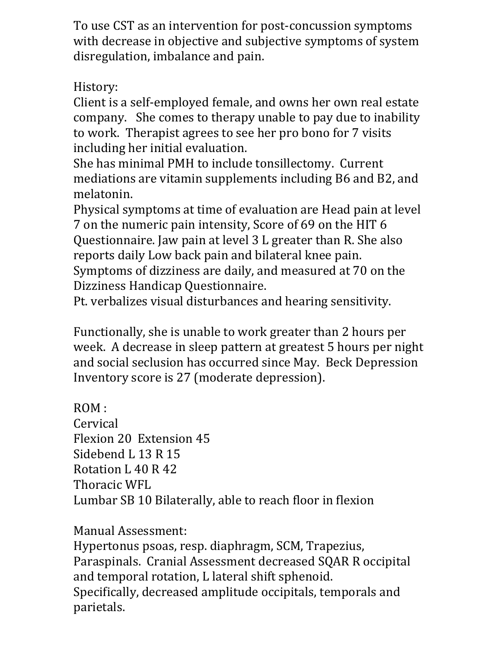To use CST as an intervention for post-concussion symptoms with decrease in objective and subjective symptoms of system disregulation, imbalance and pain.

### History:

Client is a self-employed female, and owns her own real estate company. She comes to therapy unable to pay due to inability to work. Therapist agrees to see her pro bono for 7 visits including her initial evaluation.

She has minimal PMH to include tonsillectomy. Current mediations are vitamin supplements including B6 and B2, and melatonin.

Physical symptoms at time of evaluation are Head pain at level 7 on the numeric pain intensity, Score of 69 on the HIT 6 Questionnaire. Jaw pain at level 3 L greater than R. She also reports daily Low back pain and bilateral knee pain.

Symptoms of dizziness are daily, and measured at 70 on the Dizziness Handicap Questionnaire.

Pt. verbalizes visual disturbances and hearing sensitivity.

Functionally, she is unable to work greater than 2 hours per week. A decrease in sleep pattern at greatest 5 hours per night and social seclusion has occurred since May. Beck Depression Inventory score is 27 (moderate depression).

ROM : **Cervical** Flexion 20 Extension 45 Sidebend L 13 R 15 Rotation L 40 R 42 Thoracic WFL Lumbar SB 10 Bilaterally, able to reach floor in flexion

Manual Assessment:

Hypertonus psoas, resp. diaphragm, SCM, Trapezius, Paraspinals. Cranial Assessment decreased SQAR R occipital and temporal rotation, L lateral shift sphenoid. Specifically, decreased amplitude occipitals, temporals and parietals.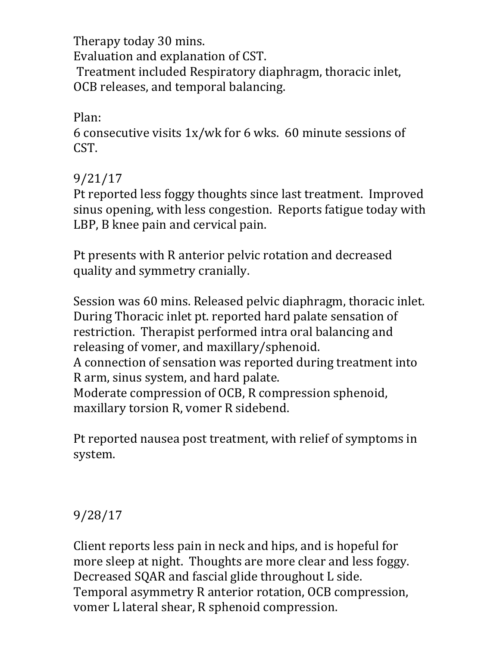Therapy today 30 mins. Evaluation and explanation of CST. Treatment included Respiratory diaphragm, thoracic inlet, OCB releases, and temporal balancing.

Plan:

6 consecutive visits 1x/wk for 6 wks. 60 minute sessions of CST.

#### 9/21/17

Pt reported less foggy thoughts since last treatment. Improved sinus opening, with less congestion. Reports fatigue today with LBP, B knee pain and cervical pain.

Pt presents with R anterior pelvic rotation and decreased quality and symmetry cranially.

Session was 60 mins. Released pelvic diaphragm, thoracic inlet. During Thoracic inlet pt. reported hard palate sensation of restriction. Therapist performed intra oral balancing and releasing of vomer, and maxillary/sphenoid.

A connection of sensation was reported during treatment into R arm, sinus system, and hard palate.

Moderate compression of OCB, R compression sphenoid, maxillary torsion R, vomer R sidebend.

Pt reported nausea post treatment, with relief of symptoms in system.

### 9/28/17

Client reports less pain in neck and hips, and is hopeful for more sleep at night. Thoughts are more clear and less foggy. Decreased SQAR and fascial glide throughout L side. Temporal asymmetry R anterior rotation, OCB compression, vomer L lateral shear, R sphenoid compression.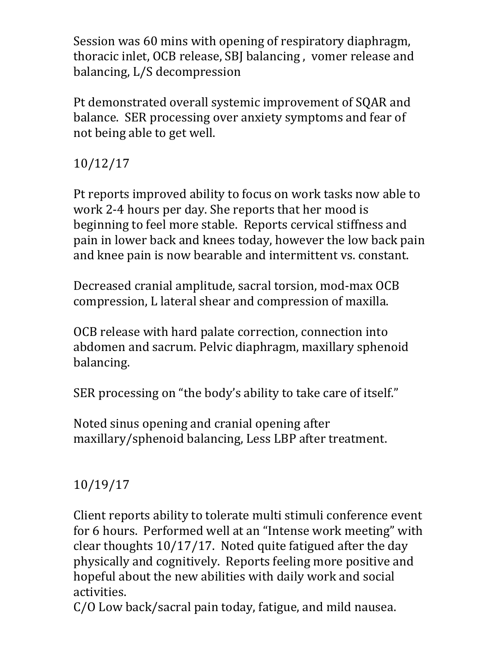Session was 60 mins with opening of respiratory diaphragm, thoracic inlet, OCB release, SBJ balancing , vomer release and balancing, L/S decompression

Pt demonstrated overall systemic improvement of SQAR and balance. SER processing over anxiety symptoms and fear of not being able to get well.

# 10/12/17

Pt reports improved ability to focus on work tasks now able to work 2-4 hours per day. She reports that her mood is beginning to feel more stable. Reports cervical stiffness and pain in lower back and knees today, however the low back pain and knee pain is now bearable and intermittent vs. constant.

Decreased cranial amplitude, sacral torsion, mod-max OCB compression, L lateral shear and compression of maxilla.

OCB release with hard palate correction, connection into abdomen and sacrum. Pelvic diaphragm, maxillary sphenoid balancing.

SER processing on "the body's ability to take care of itself."

Noted sinus opening and cranial opening after maxillary/sphenoid balancing, Less LBP after treatment.

## 10/19/17

Client reports ability to tolerate multi stimuli conference event for 6 hours. Performed well at an "Intense work meeting" with clear thoughts 10/17/17. Noted quite fatigued after the day physically and cognitively. Reports feeling more positive and hopeful about the new abilities with daily work and social activities.

C/O Low back/sacral pain today, fatigue, and mild nausea.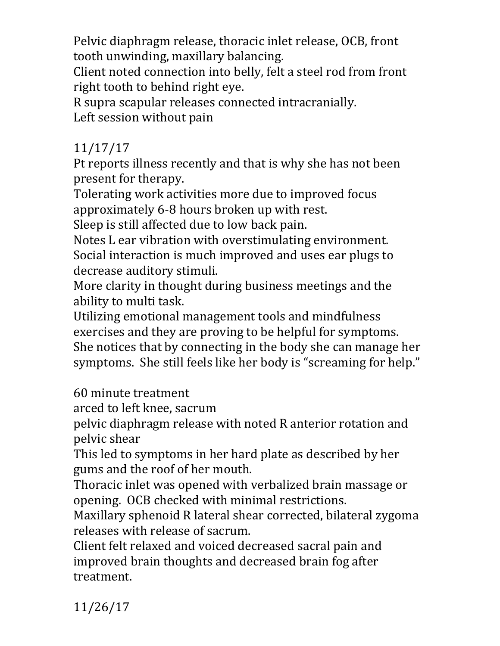Pelvic diaphragm release, thoracic inlet release, OCB, front tooth unwinding, maxillary balancing.

Client noted connection into belly, felt a steel rod from front right tooth to behind right eye.

R supra scapular releases connected intracranially. Left session without pain

### 11/17/17

Pt reports illness recently and that is why she has not been present for therapy.

Tolerating work activities more due to improved focus approximately 6-8 hours broken up with rest.

Sleep is still affected due to low back pain.

Notes L ear vibration with overstimulating environment. Social interaction is much improved and uses ear plugs to decrease auditory stimuli.

More clarity in thought during business meetings and the ability to multi task.

Utilizing emotional management tools and mindfulness exercises and they are proving to be helpful for symptoms. She notices that by connecting in the body she can manage her symptoms. She still feels like her body is "screaming for help."

60 minute treatment

arced to left knee, sacrum

pelvic diaphragm release with noted R anterior rotation and pelvic shear

This led to symptoms in her hard plate as described by her gums and the roof of her mouth.

Thoracic inlet was opened with verbalized brain massage or opening. OCB checked with minimal restrictions.

Maxillary sphenoid R lateral shear corrected, bilateral zygoma releases with release of sacrum.

Client felt relaxed and voiced decreased sacral pain and improved brain thoughts and decreased brain fog after treatment.

11/26/17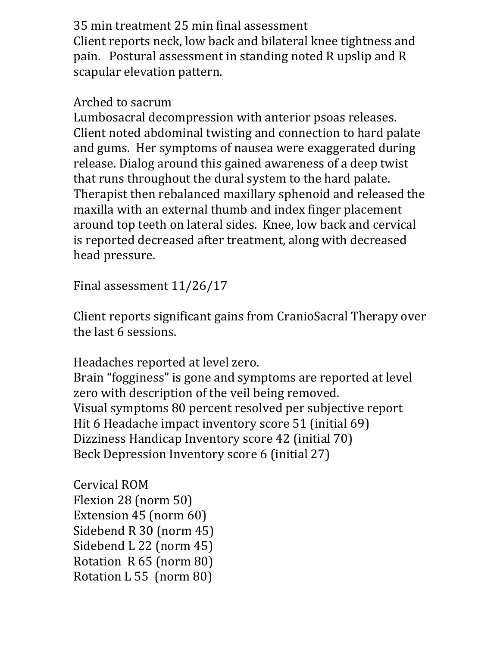35 min treatment 25 min final assessment Client reports neck, low back and bilateral knee tightness and pain. Postural assessment in standing noted R upslip and R scapular elevation pattern.

### Arched to sacrum

Lumbosacral decompression with anterior psoas releases. Client noted abdominal twisting and connection to hard palate and gums. Her symptoms of nausea were exaggerated during release. Dialog around this gained awareness of a deep twist that runs throughout the dural system to the hard palate. Therapist then rebalanced maxillary sphenoid and released the maxilla with an external thumb and index finger placement around top teeth on lateral sides. Knee, low back and cervical is reported decreased after treatment, along with decreased head pressure.

Final assessment 11/26/17

Client reports significant gains from CranioSacral Therapy over the last 6 sessions.

Headaches reported at level zero. Brain "fogginess" is gone and symptoms are reported at level zero with description of the veil being removed. Visual symptoms 80 percent resolved per subjective report Hit 6 Headache impact inventory score 51 (initial 69) Dizziness Handicap Inventory score 42 (initial 70) Beck Depression Inventory score 6 (initial 27)

Cervical ROM Flexion 28 (norm 50) Extension 45 (norm 60) Sidebend R 30 (norm 45) Sidebend L 22 (norm 45) Rotation R 65 (norm 80) Rotation L 55 (norm 80)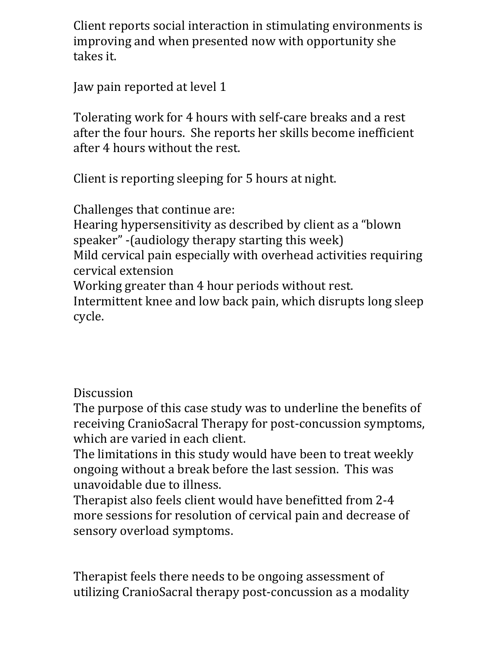Client reports social interaction in stimulating environments is improving and when presented now with opportunity she takes it.

Jaw pain reported at level 1

Tolerating work for 4 hours with self-care breaks and a rest after the four hours. She reports her skills become inefficient after 4 hours without the rest.

Client is reporting sleeping for 5 hours at night.

Challenges that continue are: Hearing hypersensitivity as described by client as a "blown speaker" -(audiology therapy starting this week) Mild cervical pain especially with overhead activities requiring cervical extension Working greater than 4 hour periods without rest. Intermittent knee and low back pain, which disrupts long sleep cycle.

### Discussion

The purpose of this case study was to underline the benefits of receiving CranioSacral Therapy for post-concussion symptoms, which are varied in each client.

The limitations in this study would have been to treat weekly ongoing without a break before the last session. This was unavoidable due to illness.

Therapist also feels client would have benefitted from 2-4 more sessions for resolution of cervical pain and decrease of sensory overload symptoms.

Therapist feels there needs to be ongoing assessment of utilizing CranioSacral therapy post-concussion as a modality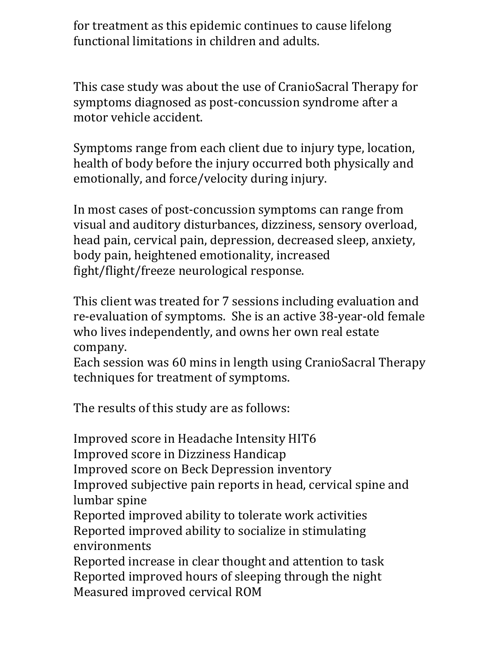for treatment as this epidemic continues to cause lifelong functional limitations in children and adults.

This case study was about the use of CranioSacral Therapy for symptoms diagnosed as post-concussion syndrome after a motor vehicle accident.

Symptoms range from each client due to injury type, location, health of body before the injury occurred both physically and emotionally, and force/velocity during injury.

In most cases of post-concussion symptoms can range from visual and auditory disturbances, dizziness, sensory overload, head pain, cervical pain, depression, decreased sleep, anxiety, body pain, heightened emotionality, increased fight/flight/freeze neurological response.

This client was treated for 7 sessions including evaluation and re-evaluation of symptoms. She is an active 38-year-old female who lives independently, and owns her own real estate company.

Each session was 60 mins in length using CranioSacral Therapy techniques for treatment of symptoms.

The results of this study are as follows:

Improved score in Headache Intensity HIT6 Improved score in Dizziness Handicap Improved score on Beck Depression inventory Improved subjective pain reports in head, cervical spine and lumbar spine Reported improved ability to tolerate work activities Reported improved ability to socialize in stimulating environments Reported increase in clear thought and attention to task Reported improved hours of sleeping through the night

Measured improved cervical ROM